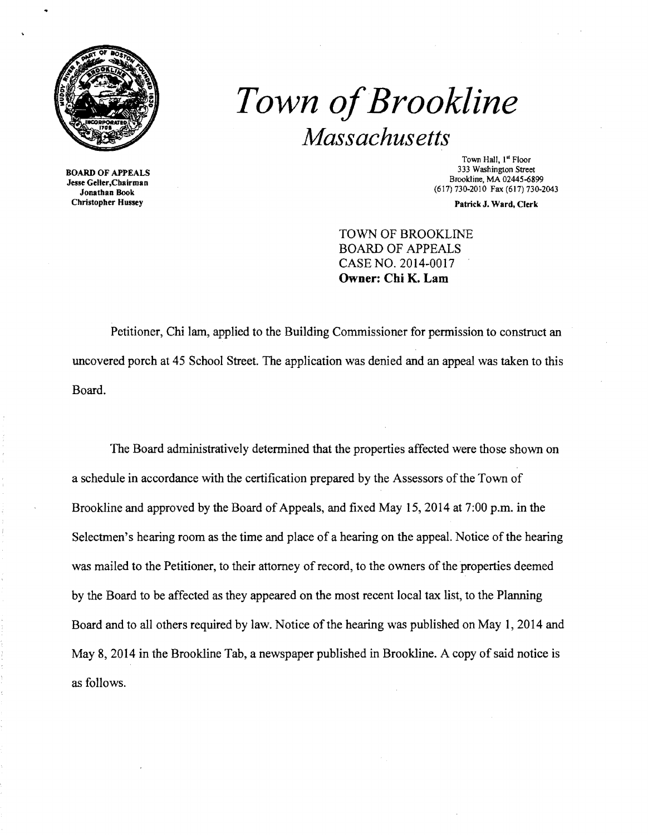

Brookline, MA 02445-6899<br> **Brookline, MA 02445-6899**<br> **Brookline, MA 02445-6899**<br> **Brookline, MA 02445-6899**<br> **Brookline, MA 02445-6899**<br> **Brookline, MA 02445-6899**<br> **Patrick J. Ward. Clerk** 

# Town of Brookline *Mass achus etts*

Town Hall, 1<sup>st</sup> Floor<br>333 Washington Street 333 Washington Street 333 Washington Street 333 Washington Street<br>
1993 Brookline, MA 02445-6899

Patrick J. Ward, Clerk

TOWN OF BROOKLINE BOARD OF APPEALS CASE NO. 2014-0017 Owner: Chi K. Lam

Petitioner, Chi lam, applied to the Building Commissioner for permission to construct an uncovered porch at 45 School Street. The application was denied and an appeal was taken to this Board.

The Board administratively determined that the properties affected were those shown on a schedule in accordance with the certification prepared by the Assessors of the Town of Brookline and approved by the Board of Appeals, and fixed May 15, 2014 at 7:00 p.m. in the Selectmen's hearing room as the time and place of a hearing on the appeal. Notice of the hearing was mailed to the Petitioner, to their attorney of record, to the owners of the properties deemed by the Board to be affected as they appeared on the most recent local tax list, to the Planning Board and to all others required by law. Notice of the hearing was published on May 1,2014 and May 8, 2014 in the Brookline Tab, a newspaper published in Brookline. A copy of said notice is as follows.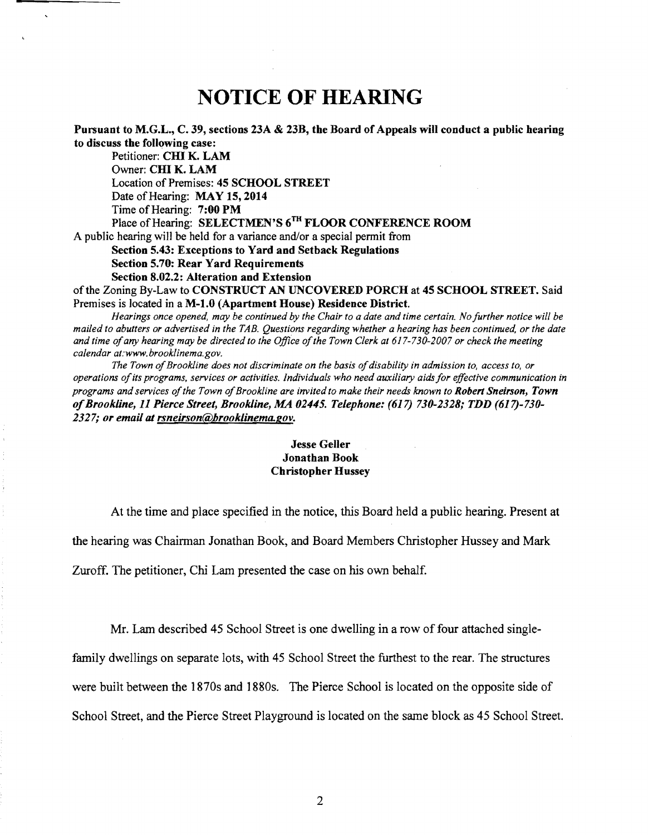## **NOTICE OF HEARING**

### Pursuant to M.G.L., C. 39, sections  $23A \& 23B$ , the Board of Appeals will conduct a public hearing to discuss the following case:

Petitioner: CHI K. LAM Owner: CHI K. LAM Location of Premises: 45 SCHOOL STREET Date of Hearing: MAY 15, 2014 Time of Hearing: 7:00 PM Place of Hearing: SELECTMEN'S 6<sup>TH</sup> FLOOR CONFERENCE ROOM A public hearing will be held for a variance and/or a special permit from Section 5.43: Exceptions to Yard and Setback Regulations

### Section 5.70: Rear Yard Requirements

 $\ddot{\phantom{0}}$ 

Section 8.02.2: Alteration and Extension

of the Zoning By-Law to CONSTRUCT AN UNCOVERED PORCH at 45 SCHOOL STREET. Said Premises is located in a M-I.O (Apartment House) Residence District.

*Hearings once opened, may be continued by the Chair to a date and time certain. No further notice will be mailed to abutters or advertised in the TAB. Questions regarding whether a hearing has been continued, or the date and time ofany hearing may be directed to the Office ofthe Town Clerk at 617-730-2007 or check the meeting calendar at:www.brooklinema.gov.* 

The Town of Brookline does not discriminate on the basis of disability in admission to, access to, or *operations ofits programs, services or activities. Individuals who need auxiliary aids for effective communication in programs and services of the Town of Brookline are invited to make their needs known to Robert Sneirson, Town ofBrookline,* 11 *Pierce Street, Brookline,* it:fA *02445. Telephone:* (617) *730-2328; TDD (617)-730 2327; or email* at *rsneirson@brooklinema.gov.* 

#### Jesse Geller Jonathan Book Christopher Hussey

At the time and place specified in the notice, this Board held a public hearing. Present at

the hearing was Chairman Jonathan Book, and Board Members Christopher Hussey and Mark

Zuroff. The petitioner, Chi Lam presented the case on his own behalf.

Mr. Lam described 45 School Street is one dwelling in a row of four attached single-

family dwellings on separate lots, with 45 School Street the furthest to the rear. The structures

were built between the 1870s and 1880s. The Pierce School is located on the opposite side of

School Street, and the Pierce Street Playground is located on the same block as 45 School Street.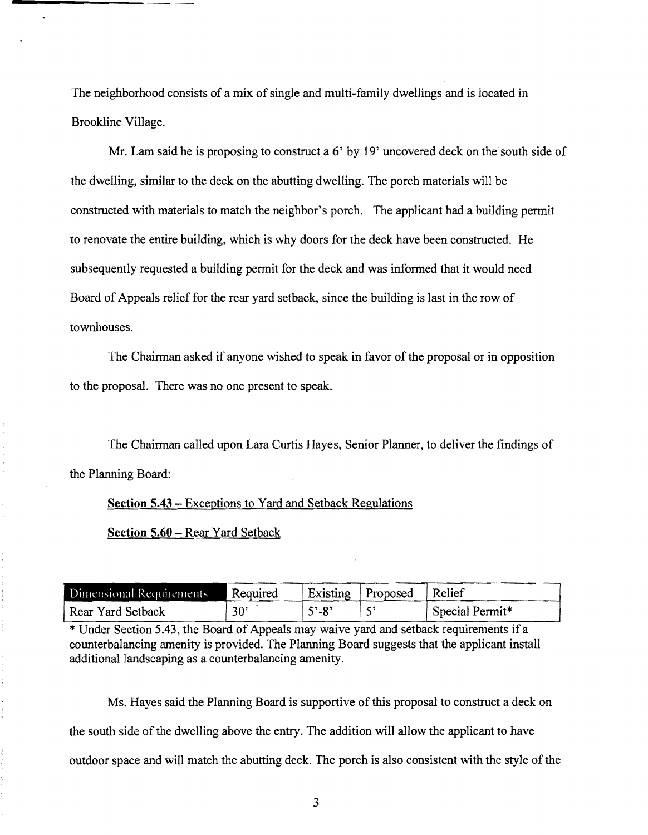The neighborhood consists of a mix of single and multi-family dwellings and is located in Brookline Village.

Mr. Lam said he is proposing to construct a 6' by 19' uncovered deck on the south side of the dwelling, similar to the deck on the abutting dwelling. The porch materials will be constructed with materials to match the neighbor's porch. The applicant had a building permit to renovate the entire building, which is why doors for the deck have been constructed. He subsequently requested a building permit for the deck and was informed that it would need Board of Appeals relief for the rear yard setback, since the building is last in the row of townhouses.

The Chairman asked if anyone wished to speak in favor of the proposal or in opposition to the proposal. There was no one present to speak.

The Chairman called upon Lara Curtis Hayes, Senior Planner, to deliver the findings of the Planning Board:

#### **Section 5.43** - Exceptions to Yard and Setback Regulations

**Section 5.60** - Rear Yard Setback

| Dimensional Requirements | Required     | Existing Proposed           | Relief                      |
|--------------------------|--------------|-----------------------------|-----------------------------|
| Rear Yard Setback        | $30^{\circ}$ | $5^{\circ}$ -R <sup>3</sup> | Special Permit <sup>*</sup> |

\* Under Section 5.43, the Board of Appeals may waive yard and setback requirements if a counterbalancing amenity is provided. The Planning Board suggests that the applicant install additional landscaping as a counterbalancing amenity.

Ms. Hayes said the Planning Board is supportive of this proposal to construct a deck on the south side of the dwelling above the entry. The addition will allow the applicant to have outdoor space and will match the abutting deck. The porch is also consistent with the style of the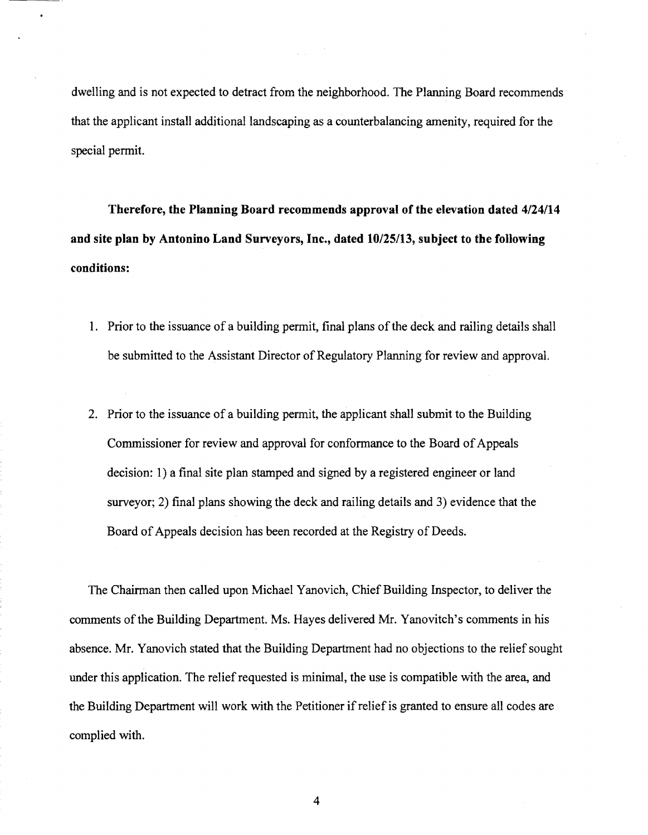dwelling and is not expected to detract from the neighborhood. The Planning Board recommends that the applicant install additional landscaping as a counterbalancing amenity, required for the special permit.

**Therefore, the Planning Board recommends approval** of the **elevation dated 4/24114 and site plan by Antonino Land Surveyors, Inc., dated 10/25113, subject to the following conditions:** 

- 1. Prior to the issuance of a building permit, final plans of the deck and railing details shall be submitted to the Assistant Director of Regulatory Planning for review and approval.
- 2. Prior to the issuance of a building permit, the applicant shall submit to the Building Commissioner for review and approval for conformance to the Board of Appeals decision: 1) a final site plan stamped and signed by a registered engineer or land surveyor; 2) final plans showing the deck and railing details and 3) evidence that the Board of Appeals decision has been recorded at the Registry of Deeds.

The Chairman then called upon Michael Yanovich, Chief Building Inspector, to deliver the comments of the Building Department. Ms. Hayes delivered Mr. Yanovitch's comments in his absence. Mr. Yanovich stated that the Building Department had no objections to the relief sought under this application. The relief requested is minimal, the use is compatible with the area, and the Building Department will work with the Petitioner if relief is granted to ensure all codes are complied with.

4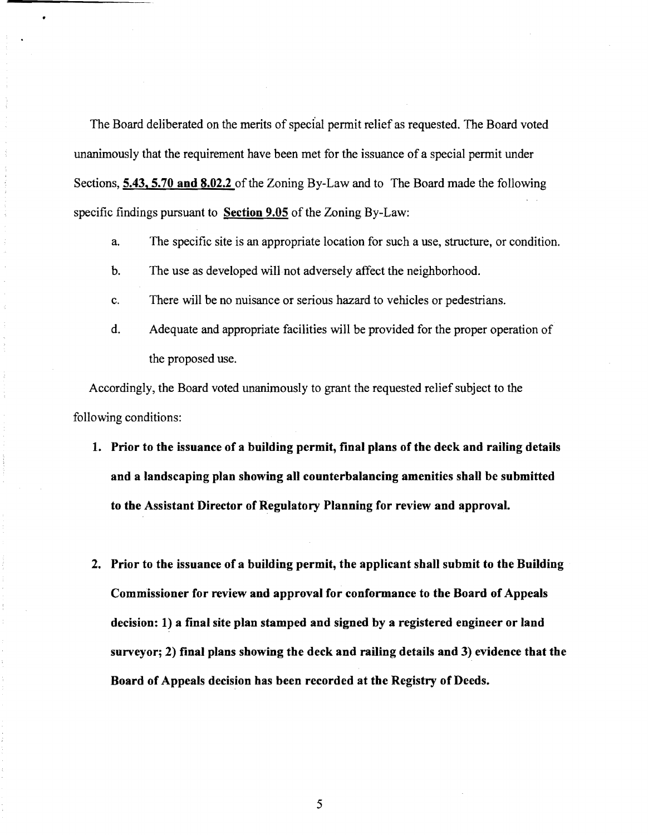The Board deliberated on the merits of special permit relief as requested. The Board voted unanimously that the requirement have been met for the issuance of a special permit under Sections, **5.43,5.70 and 8.02.2** of the Zoning By-Law and to The Board made the following specific findings pursuant to **Section 9.05** of the Zoning By-Law:

- a. The specific site is an appropriate location for such a use, structure, or condition.
- b. The use as developed will not adversely affect the neighborhood.
- c. There will be no nuisance or serious hazard to vehicles or pedestrians.
- d. Adequate and appropriate facilities will be provided for the proper operation of the proposed use.

Accordingly, the Board voted unanimously to grant the requested relief subject to the following conditions:

- **1. Prior to the issuance of a building permit, final plans of the deck and railing details and a landscaping plan showing all counterbalancing amenities shall be submitted to the Assistant Director of Regulatory Planning for review and approval.**
- **2. Prior to the issuance of a building permit, the applicant shall submit to the Building Commissioner for review and approval for conformance to the Board of Appeals decision: 1) a final site plan stamped and signed by a registered engineer or land surveyor; 2) final plans showing the deck and railing details and 3) evidence that the Board of Appeals decision has been recorded at the Registry of Deeds.**

5